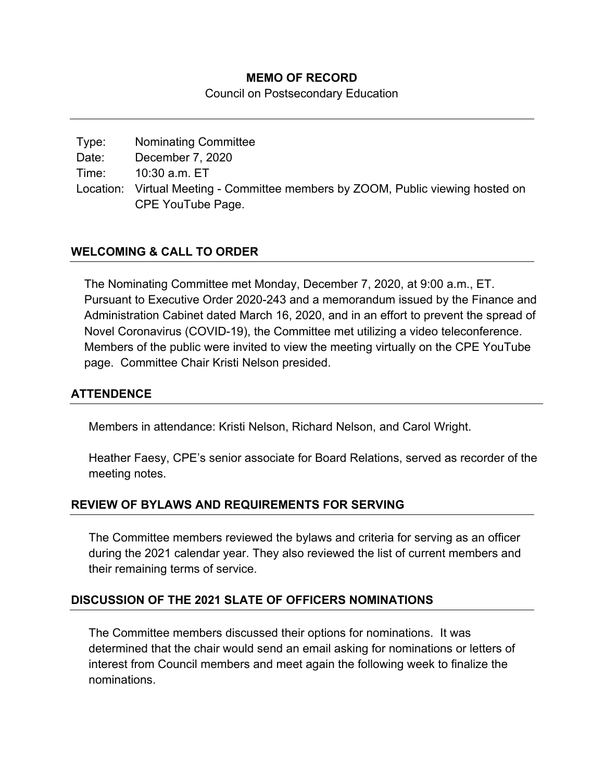#### **MEMO OF RECORD**

Council on Postsecondary Education

| Type: | <b>Nominating Committee</b>                                                     |
|-------|---------------------------------------------------------------------------------|
| Date: | December 7, 2020                                                                |
| Time: | 10:30 a.m. ET                                                                   |
|       | Location: Virtual Meeting - Committee members by ZOOM, Public viewing hosted on |
|       | CPE YouTube Page.                                                               |

## **WELCOMING & CALL TO ORDER**

The Nominating Committee met Monday, December 7, 2020, at 9:00 a.m., ET. Pursuant to Executive Order 2020-243 and a memorandum issued by the Finance and Administration Cabinet dated March 16, 2020, and in an effort to prevent the spread of Novel Coronavirus (COVID-19), the Committee met utilizing a video teleconference. Members of the public were invited to view the meeting virtually on the CPE YouTube page. Committee Chair Kristi Nelson presided.

#### **ATTENDENCE**

Members in attendance: Kristi Nelson, Richard Nelson, and Carol Wright.

Heather Faesy, CPE's senior associate for Board Relations, served as recorder of the meeting notes.

## **REVIEW OF BYLAWS AND REQUIREMENTS FOR SERVING**

The Committee members reviewed the bylaws and criteria for serving as an officer during the 2021 calendar year. They also reviewed the list of current members and their remaining terms of service.

## **DISCUSSION OF THE 2021 SLATE OF OFFICERS NOMINATIONS**

The Committee members discussed their options for nominations. It was determined that the chair would send an email asking for nominations or letters of interest from Council members and meet again the following week to finalize the nominations.